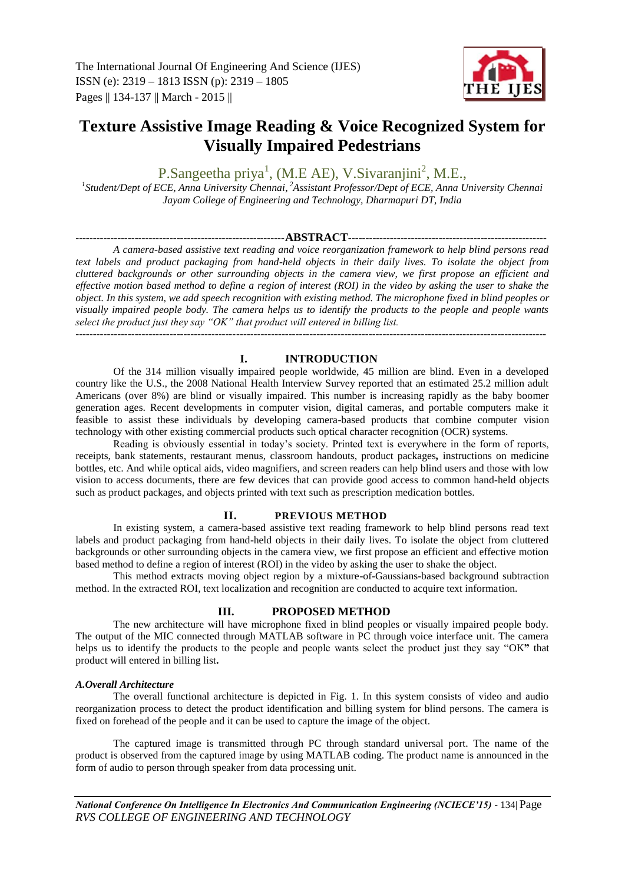

# **Texture Assistive Image Reading & Voice Recognized System for Visually Impaired Pedestrians**

P.Sangeetha priya<sup>1</sup>, (M.E AE), V.Sivaranjini<sup>2</sup>, M.E.,

*1 Student/Dept of ECE, Anna University Chennai*, *<sup>2</sup>Assistant Professor/Dept of ECE, Anna University Chennai Jayam College of Engineering and Technology, Dharmapuri DT, India*

# ------------------------------------------------------------**ABSTRACT**---------------------------------------------------------

*A camera-based assistive text reading and voice reorganization framework to help blind persons read text labels and product packaging from hand-held objects in their daily lives. To isolate the object from cluttered backgrounds or other surrounding objects in the camera view, we first propose an efficient and effective motion based method to define a region of interest (ROI) in the video by asking the user to shake the object. In this system, we add speech recognition with existing method. The microphone fixed in blind peoples or visually impaired people body. The camera helps us to identify the products to the people and people wants select the product just they say "OK" that product will entered in billing list.*

---------------------------------------------------------------------------------------------------------------------------------------

# **I. INTRODUCTION**

Of the 314 million visually impaired people worldwide, 45 million are blind. Even in a developed country like the U.S., the 2008 National Health Interview Survey reported that an estimated 25.2 million adult Americans (over 8%) are blind or visually impaired. This number is increasing rapidly as the baby boomer generation ages. Recent developments in computer vision, digital cameras, and portable computers make it feasible to assist these individuals by developing camera-based products that combine computer vision technology with other existing commercial products such optical character recognition (OCR) systems.

Reading is obviously essential in today's society. Printed text is everywhere in the form of reports, receipts, bank statements, restaurant menus, classroom handouts, product packages*,* instructions on medicine bottles, etc. And while optical aids, video magnifiers, and screen readers can help blind users and those with low vision to access documents, there are few devices that can provide good access to common hand-held objects such as product packages, and objects printed with text such as prescription medication bottles.

#### **II. PREVIOUS METHOD**

In existing system, a camera-based assistive text reading framework to help blind persons read text labels and product packaging from hand-held objects in their daily lives. To isolate the object from cluttered backgrounds or other surrounding objects in the camera view, we first propose an efficient and effective motion based method to define a region of interest (ROI) in the video by asking the user to shake the object.

This method extracts moving object region by a mixture-of-Gaussians-based background subtraction method. In the extracted ROI, text localization and recognition are conducted to acquire text information.

# **III. PROPOSED METHOD**

The new architecture will have microphone fixed in blind peoples or visually impaired people body. The output of the MIC connected through MATLAB software in PC through voice interface unit. The camera helps us to identify the products to the people and people wants select the product just they say "OK**"** that product will entered in billing list**.** 

# *A.Overall Architecture*

The overall functional architecture is depicted in Fig. 1. In this system consists of video and audio reorganization process to detect the product identification and billing system for blind persons. The camera is fixed on forehead of the people and it can be used to capture the image of the object.

The captured image is transmitted through PC through standard universal port. The name of the product is observed from the captured image by using MATLAB coding. The product name is announced in the form of audio to person through speaker from data processing unit.

*National Conference On Intelligence In Electronics And Communication Engineering (NCIECE'15) -* 134| Page *RVS COLLEGE OF ENGINEERING AND TECHNOLOGY*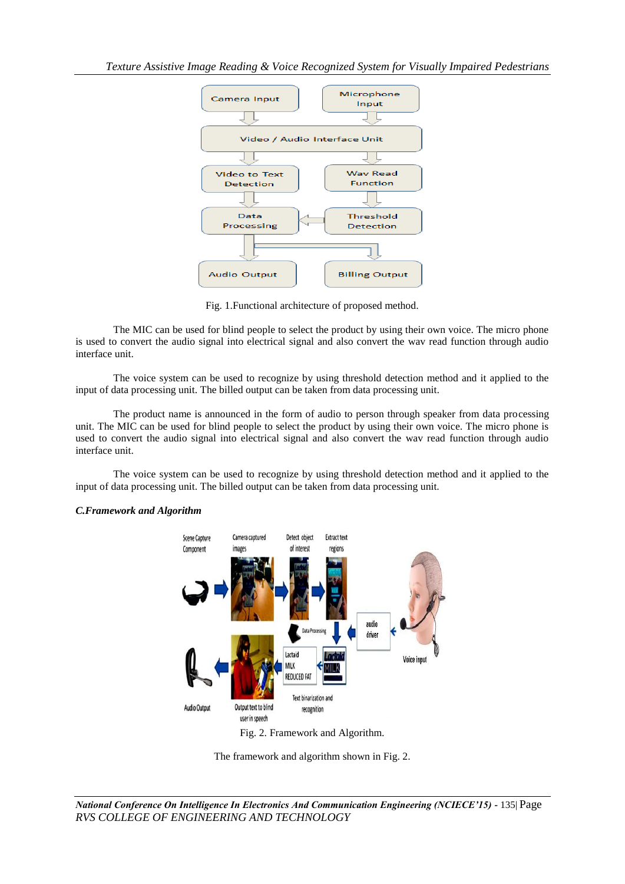

Fig. 1.Functional architecture of proposed method.

The MIC can be used for blind people to select the product by using their own voice. The micro phone is used to convert the audio signal into electrical signal and also convert the wav read function through audio interface unit.

The voice system can be used to recognize by using threshold detection method and it applied to the input of data processing unit. The billed output can be taken from data processing unit*.*

The product name is announced in the form of audio to person through speaker from data processing unit. The MIC can be used for blind people to select the product by using their own voice. The micro phone is used to convert the audio signal into electrical signal and also convert the wav read function through audio interface unit.

The voice system can be used to recognize by using threshold detection method and it applied to the input of data processing unit. The billed output can be taken from data processing unit.

#### Scene Capture Camera captured Detect object **Extract text** of interest Component images regions audio Data Proces driver Lactaid Voice input MILK **REDUCED FAT** Text binarization and Output text to blind **Audio Output** recognition user in speech Fig. 2. Framework and Algorithm.

# *C.Framework and Algorithm*

The framework and algorithm shown in Fig. 2.

*National Conference On Intelligence In Electronics And Communication Engineering (NCIECE'15) -* 135| Page *RVS COLLEGE OF ENGINEERING AND TECHNOLOGY*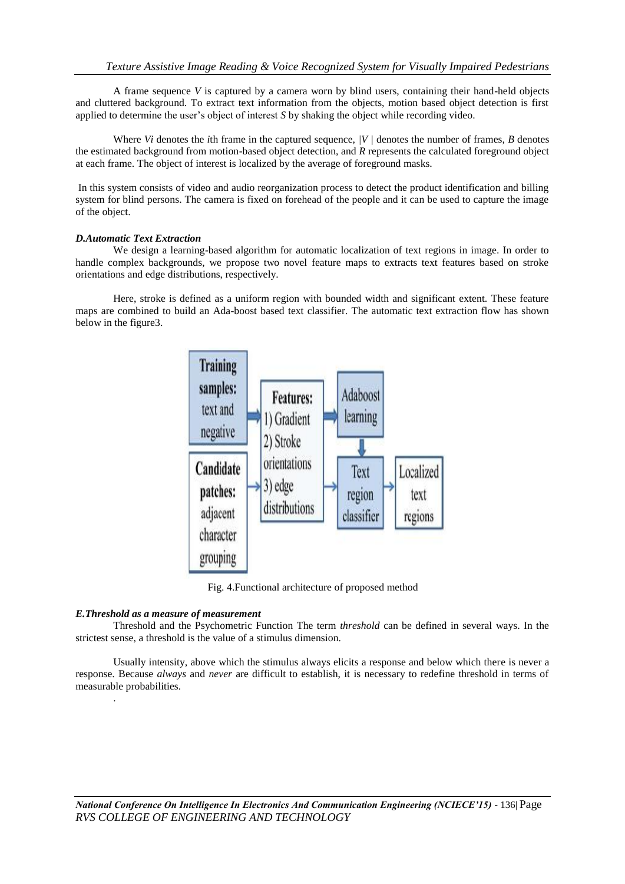A frame sequence *V* is captured by a camera worn by blind users, containing their hand-held objects and cluttered background. To extract text information from the objects, motion based object detection is first applied to determine the user's object of interest *S* by shaking the object while recording video.

Where *Vi* denotes the *i*th frame in the captured sequence, *|V |* denotes the number of frames, *B* denotes the estimated background from motion-based object detection, and *R* represents the calculated foreground object at each frame. The object of interest is localized by the average of foreground masks.

In this system consists of video and audio reorganization process to detect the product identification and billing system for blind persons. The camera is fixed on forehead of the people and it can be used to capture the image of the object.

# *D.Automatic Text Extraction*

We design a learning-based algorithm for automatic localization of text regions in image. In order to handle complex backgrounds, we propose two novel feature maps to extracts text features based on stroke orientations and edge distributions, respectively.

Here, stroke is defined as a uniform region with bounded width and significant extent. These feature maps are combined to build an Ada-boost based text classifier. The automatic text extraction flow has shown below in the figure3.



Fig. 4.Functional architecture of proposed method

# *E.Threshold as a measure of measurement*

.

Threshold and the Psychometric Function The term *threshold* can be defined in several ways. In the strictest sense, a threshold is the value of a stimulus dimension.

Usually intensity, above which the stimulus always elicits a response and below which there is never a response. Because *always* and *never* are difficult to establish, it is necessary to redefine threshold in terms of measurable probabilities.

*National Conference On Intelligence In Electronics And Communication Engineering (NCIECE'15) -* 136| Page *RVS COLLEGE OF ENGINEERING AND TECHNOLOGY*